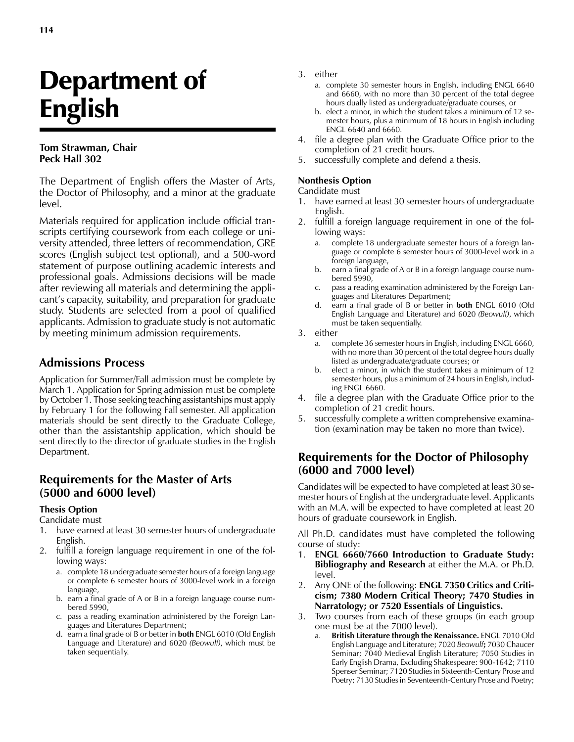# Department of English

#### **Tom Strawman, Chair Peck Hall 302**

The Department of English offers the Master of Arts, the Doctor of Philosophy, and a minor at the graduate level.

Materials required for application include official transcripts certifying coursework from each college or university attended, three letters of recommendation, GRE scores (English subject test optional), and a 500-word statement of purpose outlining academic interests and professional goals. Admissions decisions will be made after reviewing all materials and determining the applicant's capacity, suitability, and preparation for graduate study. Students are selected from a pool of qualified applicants. Admission to graduate study is not automatic by meeting minimum admission requirements.

## **Admissions Process**

Application for Summer/Fall admission must be complete by March 1. Application for Spring admission must be complete by October 1. Those seeking teaching assistantships must apply by February 1 for the following Fall semester. All application materials should be sent directly to the Graduate College, other than the assistantship application, which should be sent directly to the director of graduate studies in the English Department.

### **Requirements for the Master of Arts (5000 and 6000 level)**

#### **Thesis Option**

#### Candidate must

- 1. have earned at least 30 semester hours of undergraduate English.
- 2. fulfill a foreign language requirement in one of the following ways:
	- a. complete 18 undergraduate semester hours of a foreign language or complete 6 semester hours of 3000-level work in a foreign language,
	- b. earn a final grade of A or B in a foreign language course numbered 5990,
	- c. pass a reading examination administered by the Foreign Languages and Literatures Department;
	- d. earn a final grade of B or better in **both** ENGL 6010 (Old English Language and Literature) and 6020 *(Beowulf)*, which must be taken sequentially.
- 3. either
	- a. complete 30 semester hours in English, including ENGL 6640 and 6660, with no more than 30 percent of the total degree hours dually listed as undergraduate/graduate courses, or
	- b. elect a minor, in which the student takes a minimum of 12 semester hours, plus a minimum of 18 hours in English including ENGL 6640 and 6660.
- 4. file a degree plan with the Graduate Office prior to the completion of 21 credit hours.
- 5. successfully complete and defend a thesis.

#### **Nonthesis Option**

#### Candidate must

- 1. have earned at least 30 semester hours of undergraduate English.
- 2. fulfill a foreign language requirement in one of the following ways:
	- complete 18 undergraduate semester hours of a foreign language or complete 6 semester hours of 3000-level work in a foreign language,
	- b. earn a final grade of A or B in a foreign language course numbered 5990,
	- c. pass a reading examination administered by the Foreign Languages and Literatures Department;
	- d. earn a final grade of B or better in **both** ENGL 6010 (Old English Language and Literature) and 6020 *(Beowulf)*, which must be taken sequentially.
- 3. either
	- a. complete 36 semester hours in English, including ENGL 6660, with no more than 30 percent of the total degree hours dually listed as undergraduate/graduate courses; or
	- b. elect a minor, in which the student takes a minimum of 12 semester hours, plus a minimum of 24 hours in English, including ENGL 6660.
- 4. file a degree plan with the Graduate Office prior to the completion of 21 credit hours.
- 5. successfully complete a written comprehensive examination (examination may be taken no more than twice).

## **Requirements for the Doctor of Philosophy (6000 and 7000 level)**

Candidates will be expected to have completed at least 30 semester hours of English at the undergraduate level. Applicants with an M.A. will be expected to have completed at least 20 hours of graduate coursework in English.

All Ph.D. candidates must have completed the following course of study:

- 1. **ENGL 6660/7660 Introduction to Graduate Study: Bibliography and Research** at either the M.A. or Ph.D. level.
- 2. Any ONE of the following: **ENGL 7350 Critics and Criticism; 7380 Modern Critical Theory; 7470 Studies in Narratology; or 7520 Essentials of Linguistics.**
- 3. Two courses from each of these groups (in each group one must be at the 7000 level).
	- a. **British Literature through the Renaissance.** ENGL 7010 Old English Language and Literature; 7020 *Beowulf***;** 7030 Chaucer Seminar; 7040 Medieval English Literature; 7050 Studies in Early English Drama, Excluding Shakespeare: 900-1642; 7110 Spenser Seminar; 7120 Studies in Sixteenth-Century Prose and Poetry; 7130 Studies in Seventeenth-Century Prose and Poetry;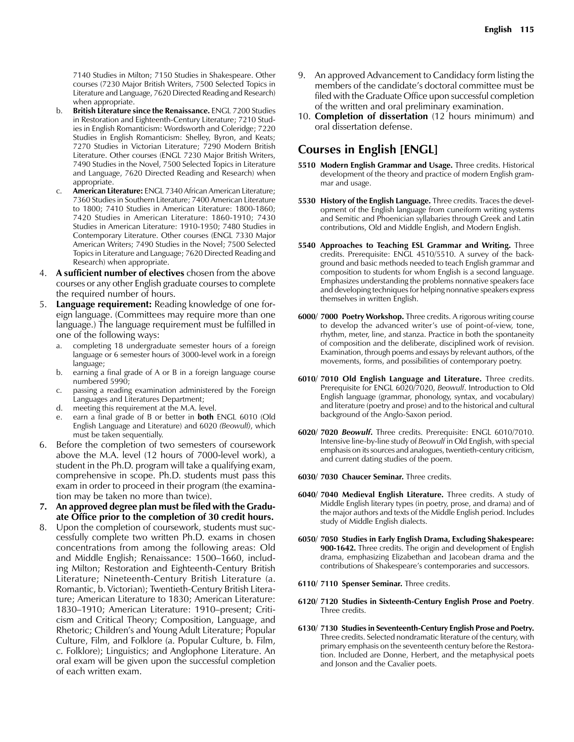7140 Studies in Milton; 7150 Studies in Shakespeare. Other courses (7230 Major British Writers, 7500 Selected Topics in Literature and Language, 7620 Directed Reading and Research) when appropriate.

- b. **British Literature since the Renaissance.** ENGL 7200 Studies in Restoration and Eighteenth-Century Literature; 7210 Studies in English Romanticism: Wordsworth and Coleridge; 7220 Studies in English Romanticism: Shelley, Byron, and Keats; 7270 Studies in Victorian Literature; 7290 Modern British Literature. Other courses (ENGL 7230 Major British Writers, 7490 Studies in the Novel, 7500 Selected Topics in Literature and Language, 7620 Directed Reading and Research) when appropriate.
- c. **American Literature:** ENGL 7340 African American Literature; 7360 Studies in Southern Literature; 7400 American Literature to 1800; 7410 Studies in American Literature: 1800-1860; 7420 Studies in American Literature: 1860-1910; 7430 Studies in American Literature: 1910-1950; 7480 Studies in Contemporary Literature. Other courses (ENGL 7330 Major American Writers; 7490 Studies in the Novel; 7500 Selected Topics in Literature and Language; 7620 Directed Reading and Research) when appropriate.
- 4. **A sufficient number of electives** chosen from the above courses or any other English graduate courses to complete the required number of hours.
- 5. **Language requirement:** Reading knowledge of one foreign language. (Committees may require more than one language.) The language requirement must be fulfilled in one of the following ways:
	- a. completing 18 undergraduate semester hours of a foreign language or 6 semester hours of 3000-level work in a foreign language;
	- b. earning a final grade of A or B in a foreign language course numbered 5990;
	- c. passing a reading examination administered by the Foreign Languages and Literatures Department;
	- d. meeting this requirement at the M.A. level.
	- e. earn a final grade of B or better in **both** ENGL 6010 (Old English Language and Literature) and 6020 *(Beowulf)*, which must be taken sequentially.
- 6. Before the completion of two semesters of coursework above the M.A. level (12 hours of 7000-level work), a student in the Ph.D. program will take a qualifying exam, comprehensive in scope. Ph.D. students must pass this exam in order to proceed in their program (the examination may be taken no more than twice).
- **7. An approved degree plan must be filed with the Graduate Office prior to the completion of 30 credit hours.**
- 8. Upon the completion of coursework, students must successfully complete two written Ph.D. exams in chosen concentrations from among the following areas: Old and Middle English; Renaissance: 1500–1660, including Milton; Restoration and Eighteenth-Century British Literature; Nineteenth-Century British Literature (a. Romantic, b. Victorian); Twentieth-Century British Literature; American Literature to 1830; American Literature: 1830–1910; American Literature: 1910–present; Criticism and Critical Theory; Composition, Language, and Rhetoric; Children's and Young Adult Literature; Popular Culture, Film, and Folklore (a. Popular Culture, b. Film, c. Folklore); Linguistics; and Anglophone Literature. An oral exam will be given upon the successful completion of each written exam.
- 9. An approved Advancement to Candidacy form listing the members of the candidate's doctoral committee must be filed with the Graduate Office upon successful completion of the written and oral preliminary examination.
- 10. **Completion of dissertation** (12 hours minimum) and oral dissertation defense.

## **Courses in English [ENGL]**

- **5510 Modern English Grammar and Usage.** Three credits. Historical development of the theory and practice of modern English grammar and usage.
- **5530 History of the English Language.** Three credits. Traces the development of the English language from cuneiform writing systems and Semitic and Phoenician syllabaries through Greek and Latin contributions, Old and Middle English, and Modern English.
- **5540 Approaches to Teaching ESL Grammar and Writing.** Three credits. Prerequisite: ENGL 4510/5510. A survey of the background and basic methods needed to teach English grammar and composition to students for whom English is a second language. Emphasizes understanding the problems nonnative speakers face and developing techniques for helping nonnative speakers express themselves in written English.
- **6000/ 7000 Poetry Workshop.** Three credits. A rigorous writing course to develop the advanced writer's use of point-of-view, tone, rhythm, meter, line, and stanza. Practice in both the spontaneity of composition and the deliberate, disciplined work of revision. Examination, through poems and essays by relevant authors, of the movements, forms, and possibilities of contemporary poetry.
- **6010/ 7010 Old English Language and Literature.** Three credits. Prerequisite for ENGL 6020/7020, *Beowulf*. Introduction to Old English language (grammar, phonology, syntax, and vocabulary) and literature (poetry and prose) and to the historical and cultural background of the Anglo-Saxon period.
- **6020/ 7020** *Beowulf***.** Three credits. Prerequisite: ENGL 6010/7010. Intensive line-by-line study of *Beowulf* in Old English, with special emphasis on its sources and analogues, twentieth-century criticism, and current dating studies of the poem.
- **6030/ 7030 Chaucer Seminar.** Three credits.
- **6040/ 7040 Medieval English Literature.** Three credits. A study of Middle English literary types (in poetry, prose, and drama) and of the major authors and texts of the Middle English period. Includes study of Middle English dialects.
- **6050/ 7050 Studies in Early English Drama, Excluding Shakespeare: 900-1642.** Three credits. The origin and development of English drama, emphasizing Elizabethan and Jacobean drama and the contributions of Shakespeare's contemporaries and successors.
- **6110/ 7110 Spenser Seminar.** Three credits.
- **6120/ 7120 Studies in Sixteenth-Century English Prose and Poetry**. Three credits.
- **6130/ 7130 Studies in Seventeenth-Century English Prose and Poetry.** Three credits. Selected nondramatic literature of the century, with primary emphasis on the seventeenth century before the Restoration. Included are Donne, Herbert, and the metaphysical poets and Jonson and the Cavalier poets.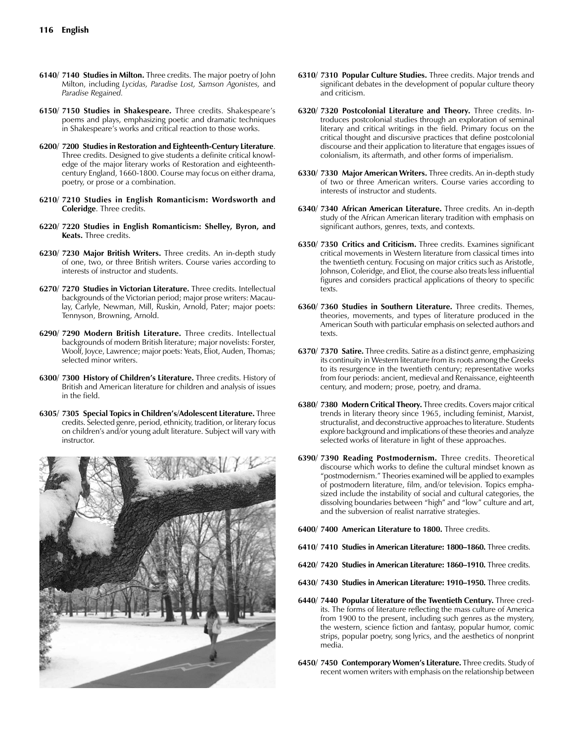- **6140/ 7140 Studies in Milton.** Three credits. The major poetry of John Milton, including *Lycidas, Paradise Lost, Samson Agonistes,* and *Paradise Regained.*
- **6150/ 7150 Studies in Shakespeare.** Three credits. Shakespeare's poems and plays, emphasizing poetic and dramatic techniques in Shakespeare's works and critical reaction to those works.
- **6200/ 7200 Studies in Restoration and Eighteenth-Century Literature**. Three credits. Designed to give students a definite critical knowledge of the major literary works of Restoration and eighteenthcentury England, 1660-1800. Course may focus on either drama, poetry, or prose or a combination.
- **6210/ 7210 Studies in English Romanticism: Wordsworth and Coleridge**. Three credits.
- **6220/ 7220 Studies in English Romanticism: Shelley, Byron, and Keats.** Three credits.
- **6230/ 7230 Major British Writers.** Three credits. An in-depth study of one, two, or three British writers. Course varies according to interests of instructor and students.
- **6270/ 7270 Studies in Victorian Literature.** Three credits. Intellectual backgrounds of the Victorian period; major prose writers: Macaulay, Carlyle, Newman, Mill, Ruskin, Arnold, Pater; major poets: Tennyson, Browning, Arnold.
- **6290/ 7290 Modern British Literature.** Three credits. Intellectual backgrounds of modern British literature; major novelists: Forster, Woolf, Joyce, Lawrence; major poets: Yeats, Eliot, Auden, Thomas; selected minor writers.
- **6300/ 7300 History of Children's Literature.** Three credits. History of British and American literature for children and analysis of issues in the field.
- **6305/ 7305 Special Topics in Children's/Adolescent Literature.** Three credits. Selected genre, period, ethnicity, tradition, or literary focus on children's and/or young adult literature. Subject will vary with instructor.



- **6310/ 7310 Popular Culture Studies.** Three credits. Major trends and significant debates in the development of popular culture theory and criticism.
- **6320/ 7320 Postcolonial Literature and Theory.** Three credits. Introduces postcolonial studies through an exploration of seminal literary and critical writings in the field. Primary focus on the critical thought and discursive practices that define postcolonial discourse and their application to literature that engages issues of colonialism, its aftermath, and other forms of imperialism.
- **6330/ 7330 Major American Writers.** Three credits. An in-depth study of two or three American writers. Course varies according to interests of instructor and students.
- **6340/ 7340 African American Literature.** Three credits. An in-depth study of the African American literary tradition with emphasis on significant authors, genres, texts, and contexts.
- **6350/ 7350 Critics and Criticism.** Three credits. Examines significant critical movements in Western literature from classical times into the twentieth century. Focusing on major critics such as Aristotle, Johnson, Coleridge, and Eliot, the course also treats less influential figures and considers practical applications of theory to specific texts.
- **6360/ 7360 Studies in Southern Literature.** Three credits. Themes, theories, movements, and types of literature produced in the American South with particular emphasis on selected authors and texts.
- **6370/ 7370 Satire.** Three credits. Satire as a distinct genre, emphasizing its continuity in Western literature from its roots among the Greeks to its resurgence in the twentieth century; representative works from four periods: ancient, medieval and Renaissance, eighteenth century, and modern; prose, poetry, and drama.
- **6380/ 7380 Modern Critical Theory.** Three credits. Covers major critical trends in literary theory since 1965, including feminist, Marxist, structuralist, and deconstructive approaches to literature. Students explore background and implications of these theories and analyze selected works of literature in light of these approaches.
- **6390/ 7390 Reading Postmodernism.** Three credits. Theoretical discourse which works to define the cultural mindset known as "postmodernism." Theories examined will be applied to examples of postmodern literature, film, and/or television. Topics emphasized include the instability of social and cultural categories, the dissolving boundaries between "high" and "low" culture and art, and the subversion of realist narrative strategies.
- **6400/ 7400 American Literature to 1800.** Three credits.
- **6410/ 7410 Studies in American Literature: 1800–1860.** Three credits.
- **6420/ 7420 Studies in American Literature: 1860–1910.** Three credits.
- **6430/ 7430 Studies in American Literature: 1910–1950.** Three credits.
- **6440/ 7440 Popular Literature of the Twentieth Century.** Three credits. The forms of literature reflecting the mass culture of America from 1900 to the present, including such genres as the mystery, the western, science fiction and fantasy, popular humor, comic strips, popular poetry, song lyrics, and the aesthetics of nonprint media.
- **6450/ 7450 Contemporary Women's Literature.** Three credits. Study of recent women writers with emphasis on the relationship between